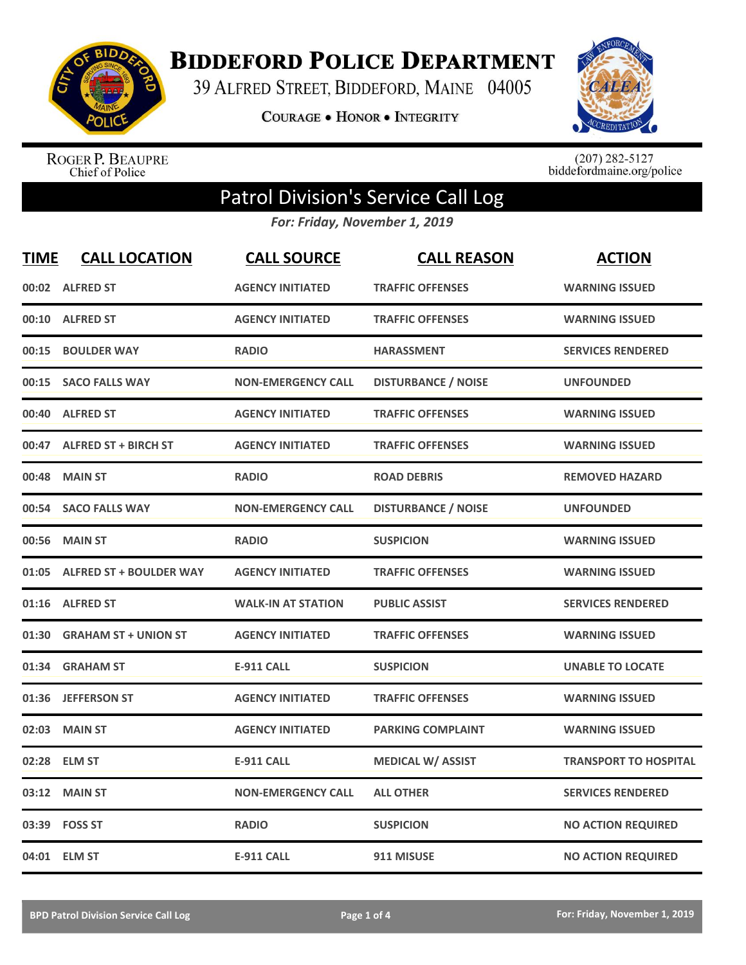

**BIDDEFORD POLICE DEPARTMENT** 

39 ALFRED STREET, BIDDEFORD, MAINE 04005

COURAGE . HONOR . INTEGRITY



ROGER P. BEAUPRE<br>Chief of Police

 $(207)$  282-5127<br>biddefordmaine.org/police

## Patrol Division's Service Call Log

*For: Friday, November 1, 2019*

| <b>TIME</b> | <b>CALL LOCATION</b>          | <b>CALL SOURCE</b>        | <b>CALL REASON</b>         | <b>ACTION</b>                |
|-------------|-------------------------------|---------------------------|----------------------------|------------------------------|
| 00:02       | <b>ALFRED ST</b>              | <b>AGENCY INITIATED</b>   | <b>TRAFFIC OFFENSES</b>    | <b>WARNING ISSUED</b>        |
| 00:10       | <b>ALFRED ST</b>              | <b>AGENCY INITIATED</b>   | <b>TRAFFIC OFFENSES</b>    | <b>WARNING ISSUED</b>        |
| 00:15       | <b>BOULDER WAY</b>            | <b>RADIO</b>              | <b>HARASSMENT</b>          | <b>SERVICES RENDERED</b>     |
| 00:15       | <b>SACO FALLS WAY</b>         | <b>NON-EMERGENCY CALL</b> | <b>DISTURBANCE / NOISE</b> | <b>UNFOUNDED</b>             |
| 00:40       | <b>ALFRED ST</b>              | <b>AGENCY INITIATED</b>   | <b>TRAFFIC OFFENSES</b>    | <b>WARNING ISSUED</b>        |
| 00:47       | <b>ALFRED ST + BIRCH ST</b>   | <b>AGENCY INITIATED</b>   | <b>TRAFFIC OFFENSES</b>    | <b>WARNING ISSUED</b>        |
| 00:48       | <b>MAIN ST</b>                | <b>RADIO</b>              | <b>ROAD DEBRIS</b>         | <b>REMOVED HAZARD</b>        |
| 00:54       | <b>SACO FALLS WAY</b>         | <b>NON-EMERGENCY CALL</b> | <b>DISTURBANCE / NOISE</b> | <b>UNFOUNDED</b>             |
| 00:56       | <b>MAIN ST</b>                | <b>RADIO</b>              | <b>SUSPICION</b>           | <b>WARNING ISSUED</b>        |
|             | 01:05 ALFRED ST + BOULDER WAY | <b>AGENCY INITIATED</b>   | <b>TRAFFIC OFFENSES</b>    | <b>WARNING ISSUED</b>        |
|             | 01:16 ALFRED ST               | <b>WALK-IN AT STATION</b> | <b>PUBLIC ASSIST</b>       | <b>SERVICES RENDERED</b>     |
| 01:30       | <b>GRAHAM ST + UNION ST</b>   | <b>AGENCY INITIATED</b>   | <b>TRAFFIC OFFENSES</b>    | <b>WARNING ISSUED</b>        |
| 01:34       | <b>GRAHAM ST</b>              | <b>E-911 CALL</b>         | <b>SUSPICION</b>           | <b>UNABLE TO LOCATE</b>      |
| 01:36       | <b>JEFFERSON ST</b>           | <b>AGENCY INITIATED</b>   | <b>TRAFFIC OFFENSES</b>    | <b>WARNING ISSUED</b>        |
| 02:03       | <b>MAIN ST</b>                | <b>AGENCY INITIATED</b>   | <b>PARKING COMPLAINT</b>   | <b>WARNING ISSUED</b>        |
| 02:28       | <b>ELM ST</b>                 | <b>E-911 CALL</b>         | <b>MEDICAL W/ ASSIST</b>   | <b>TRANSPORT TO HOSPITAL</b> |
| 03:12       | <b>MAIN ST</b>                | <b>NON-EMERGENCY CALL</b> | <b>ALL OTHER</b>           | <b>SERVICES RENDERED</b>     |
| 03:39       | <b>FOSS ST</b>                | <b>RADIO</b>              | <b>SUSPICION</b>           | <b>NO ACTION REQUIRED</b>    |
|             | 04:01 ELM ST                  | <b>E-911 CALL</b>         | 911 MISUSE                 | <b>NO ACTION REQUIRED</b>    |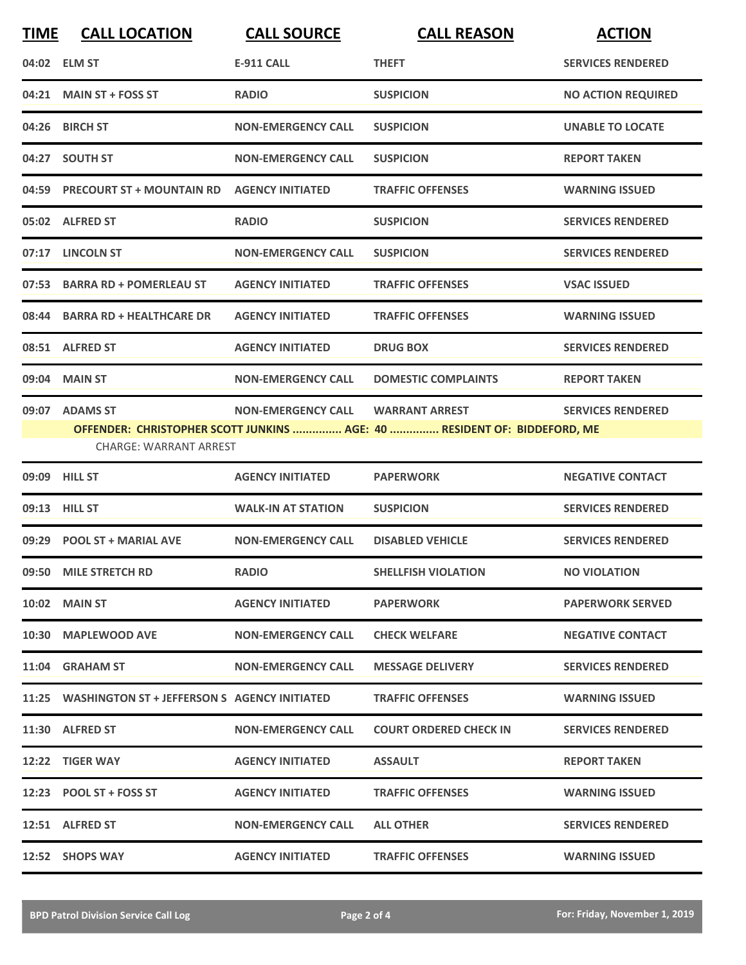| <b>TIME</b> | <b>CALL LOCATION</b>                               | <b>CALL SOURCE</b>        | <b>CALL REASON</b>                                                                                | <b>ACTION</b>             |
|-------------|----------------------------------------------------|---------------------------|---------------------------------------------------------------------------------------------------|---------------------------|
|             | 04:02 ELM ST                                       | <b>E-911 CALL</b>         | <b>THEFT</b>                                                                                      | <b>SERVICES RENDERED</b>  |
|             | 04:21 MAIN ST + FOSS ST                            | <b>RADIO</b>              | <b>SUSPICION</b>                                                                                  | <b>NO ACTION REQUIRED</b> |
|             | 04:26 BIRCH ST                                     | <b>NON-EMERGENCY CALL</b> | <b>SUSPICION</b>                                                                                  | <b>UNABLE TO LOCATE</b>   |
|             | 04:27 SOUTH ST                                     | <b>NON-EMERGENCY CALL</b> | <b>SUSPICION</b>                                                                                  | <b>REPORT TAKEN</b>       |
|             | 04:59 PRECOURT ST + MOUNTAIN RD                    | <b>AGENCY INITIATED</b>   | <b>TRAFFIC OFFENSES</b>                                                                           | <b>WARNING ISSUED</b>     |
|             | 05:02 ALFRED ST                                    | <b>RADIO</b>              | <b>SUSPICION</b>                                                                                  | <b>SERVICES RENDERED</b>  |
|             | 07:17 LINCOLN ST                                   | <b>NON-EMERGENCY CALL</b> | <b>SUSPICION</b>                                                                                  | <b>SERVICES RENDERED</b>  |
|             | 07:53 BARRA RD + POMERLEAU ST                      | <b>AGENCY INITIATED</b>   | <b>TRAFFIC OFFENSES</b>                                                                           | <b>VSAC ISSUED</b>        |
| 08:44       | <b>BARRA RD + HEALTHCARE DR</b>                    | <b>AGENCY INITIATED</b>   | <b>TRAFFIC OFFENSES</b>                                                                           | <b>WARNING ISSUED</b>     |
|             | 08:51 ALFRED ST                                    | <b>AGENCY INITIATED</b>   | <b>DRUG BOX</b>                                                                                   | <b>SERVICES RENDERED</b>  |
|             | 09:04 MAIN ST                                      | <b>NON-EMERGENCY CALL</b> | <b>DOMESTIC COMPLAINTS</b>                                                                        | <b>REPORT TAKEN</b>       |
|             | 09:07 ADAMS ST<br><b>CHARGE: WARRANT ARREST</b>    | <b>NON-EMERGENCY CALL</b> | <b>WARRANT ARREST</b><br>OFFENDER: CHRISTOPHER SCOTT JUNKINS  AGE: 40  RESIDENT OF: BIDDEFORD, ME | <b>SERVICES RENDERED</b>  |
| 09:09       | <b>HILL ST</b>                                     | <b>AGENCY INITIATED</b>   | <b>PAPERWORK</b>                                                                                  | <b>NEGATIVE CONTACT</b>   |
|             | 09:13 HILL ST                                      | <b>WALK-IN AT STATION</b> | <b>SUSPICION</b>                                                                                  | <b>SERVICES RENDERED</b>  |
|             | 09:29 POOL ST + MARIAL AVE                         | <b>NON-EMERGENCY CALL</b> | <b>DISABLED VEHICLE</b>                                                                           | <b>SERVICES RENDERED</b>  |
|             | 09:50 MILE STRETCH RD                              | <b>RADIO</b>              | <b>SHELLFISH VIOLATION</b>                                                                        | <b>NO VIOLATION</b>       |
|             | $10:02$ MAIN ST                                    | <b>AGENCY INITIATED</b>   | <b>PAPERWORK</b>                                                                                  | <b>PAPERWORK SERVED</b>   |
|             | 10:30 MAPLEWOOD AVE                                | <b>NON-EMERGENCY CALL</b> | <b>CHECK WELFARE</b>                                                                              | <b>NEGATIVE CONTACT</b>   |
|             | 11:04 GRAHAM ST                                    | <b>NON-EMERGENCY CALL</b> | <b>MESSAGE DELIVERY</b>                                                                           | <b>SERVICES RENDERED</b>  |
|             | 11:25 WASHINGTON ST + JEFFERSON S AGENCY INITIATED |                           | <b>TRAFFIC OFFENSES</b>                                                                           | <b>WARNING ISSUED</b>     |
|             | 11:30 ALFRED ST                                    | <b>NON-EMERGENCY CALL</b> | <b>COURT ORDERED CHECK IN</b>                                                                     | <b>SERVICES RENDERED</b>  |
|             | 12:22 TIGER WAY                                    | <b>AGENCY INITIATED</b>   | <b>ASSAULT</b>                                                                                    | <b>REPORT TAKEN</b>       |
|             | 12:23 POOL ST + FOSS ST                            | <b>AGENCY INITIATED</b>   | <b>TRAFFIC OFFENSES</b>                                                                           | <b>WARNING ISSUED</b>     |
|             | 12:51 ALFRED ST                                    | <b>NON-EMERGENCY CALL</b> | <b>ALL OTHER</b>                                                                                  | <b>SERVICES RENDERED</b>  |
|             | 12:52 SHOPS WAY                                    | <b>AGENCY INITIATED</b>   | <b>TRAFFIC OFFENSES</b>                                                                           | <b>WARNING ISSUED</b>     |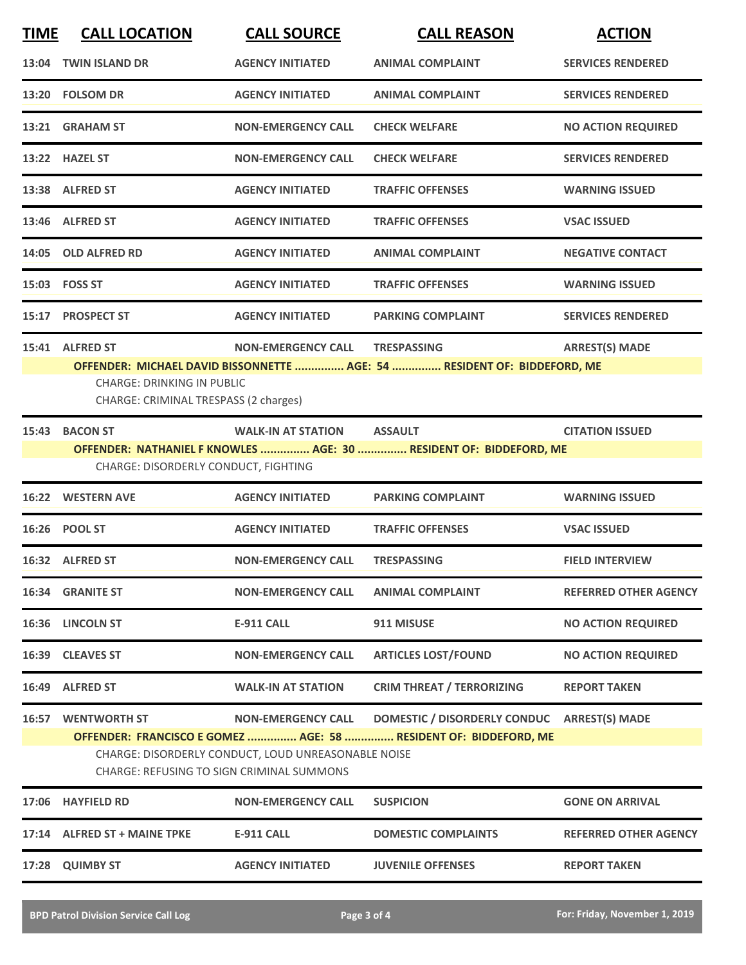| <b>TIME</b> | <b>CALL LOCATION</b>                                                     | <b>CALL SOURCE</b>                                  | <b>CALL REASON</b>                                                 | <b>ACTION</b>                |  |
|-------------|--------------------------------------------------------------------------|-----------------------------------------------------|--------------------------------------------------------------------|------------------------------|--|
| 13:04       | <b>TWIN ISLAND DR</b>                                                    | <b>AGENCY INITIATED</b>                             | <b>ANIMAL COMPLAINT</b>                                            | <b>SERVICES RENDERED</b>     |  |
|             | 13:20 FOLSOM DR                                                          | <b>AGENCY INITIATED</b>                             | <b>ANIMAL COMPLAINT</b>                                            | <b>SERVICES RENDERED</b>     |  |
|             | 13:21 GRAHAM ST                                                          | <b>NON-EMERGENCY CALL</b>                           | <b>CHECK WELFARE</b>                                               | <b>NO ACTION REQUIRED</b>    |  |
|             | 13:22 HAZEL ST                                                           | <b>NON-EMERGENCY CALL</b>                           | <b>CHECK WELFARE</b>                                               | <b>SERVICES RENDERED</b>     |  |
|             | 13:38 ALFRED ST                                                          | <b>AGENCY INITIATED</b>                             | <b>TRAFFIC OFFENSES</b>                                            | <b>WARNING ISSUED</b>        |  |
|             | 13:46 ALFRED ST                                                          | <b>AGENCY INITIATED</b>                             | <b>TRAFFIC OFFENSES</b>                                            | <b>VSAC ISSUED</b>           |  |
|             | 14:05 OLD ALFRED RD                                                      | <b>AGENCY INITIATED</b>                             | <b>ANIMAL COMPLAINT</b>                                            | <b>NEGATIVE CONTACT</b>      |  |
|             | 15:03    FOSS ST                                                         | <b>AGENCY INITIATED</b>                             | <b>TRAFFIC OFFENSES</b>                                            | <b>WARNING ISSUED</b>        |  |
| 15:17       | <b>PROSPECT ST</b>                                                       | <b>AGENCY INITIATED</b>                             | <b>PARKING COMPLAINT</b>                                           | <b>SERVICES RENDERED</b>     |  |
| 15:41       | <b>ALFRED ST</b>                                                         | <b>NON-EMERGENCY CALL</b>                           | <b>TRESPASSING</b>                                                 | <b>ARREST(S) MADE</b>        |  |
|             | OFFENDER: MICHAEL DAVID BISSONNETTE  AGE: 54  RESIDENT OF: BIDDEFORD, ME |                                                     |                                                                    |                              |  |
|             | <b>CHARGE: DRINKING IN PUBLIC</b>                                        |                                                     |                                                                    |                              |  |
|             | CHARGE: CRIMINAL TRESPASS (2 charges)                                    |                                                     |                                                                    |                              |  |
| 15:43       | <b>BACON ST</b>                                                          | <b>WALK-IN AT STATION</b>                           | <b>ASSAULT</b>                                                     | <b>CITATION ISSUED</b>       |  |
|             |                                                                          |                                                     | OFFENDER: NATHANIEL F KNOWLES  AGE: 30  RESIDENT OF: BIDDEFORD, ME |                              |  |
|             | CHARGE: DISORDERLY CONDUCT, FIGHTING                                     |                                                     |                                                                    |                              |  |
| 16:22       | <b>WESTERN AVE</b>                                                       | <b>AGENCY INITIATED</b>                             | <b>PARKING COMPLAINT</b>                                           | <b>WARNING ISSUED</b>        |  |
|             | 16:26 POOL ST                                                            | <b>AGENCY INITIATED</b>                             | <b>TRAFFIC OFFENSES</b>                                            | <b>VSAC ISSUED</b>           |  |
|             | 16:32 ALFRED ST                                                          | <b>NON-EMERGENCY CALL</b>                           | <b>TRESPASSING</b>                                                 | <b>FIELD INTERVIEW</b>       |  |
| 16:34       | <b>GRANITE ST</b>                                                        | <b>NON-EMERGENCY CALL</b>                           | <b>ANIMAL COMPLAINT</b>                                            | <b>REFERRED OTHER AGENCY</b> |  |
| 16:36       | <b>LINCOLN ST</b>                                                        | <b>E-911 CALL</b>                                   | 911 MISUSE                                                         | <b>NO ACTION REQUIRED</b>    |  |
|             | 16:39 CLEAVES ST                                                         | <b>NON-EMERGENCY CALL</b>                           | <b>ARTICLES LOST/FOUND</b>                                         | <b>NO ACTION REQUIRED</b>    |  |
| 16:49       | <b>ALFRED ST</b>                                                         | <b>WALK-IN AT STATION</b>                           | <b>CRIM THREAT / TERRORIZING</b>                                   | <b>REPORT TAKEN</b>          |  |
| 16:57       | <b>WENTWORTH ST</b>                                                      | <b>NON-EMERGENCY CALL</b>                           | <b>DOMESTIC / DISORDERLY CONDUC</b>                                | <b>ARREST(S) MADE</b>        |  |
|             |                                                                          |                                                     | OFFENDER: FRANCISCO E GOMEZ  AGE: 58  RESIDENT OF: BIDDEFORD, ME   |                              |  |
|             |                                                                          | CHARGE: DISORDERLY CONDUCT, LOUD UNREASONABLE NOISE |                                                                    |                              |  |
|             |                                                                          | <b>CHARGE: REFUSING TO SIGN CRIMINAL SUMMONS</b>    |                                                                    |                              |  |
| 17:06       | <b>HAYFIELD RD</b>                                                       | <b>NON-EMERGENCY CALL</b>                           | <b>SUSPICION</b>                                                   | <b>GONE ON ARRIVAL</b>       |  |
| 17:14       | <b>ALFRED ST + MAINE TPKE</b>                                            | <b>E-911 CALL</b>                                   | <b>DOMESTIC COMPLAINTS</b>                                         | <b>REFERRED OTHER AGENCY</b> |  |
| 17:28       | <b>QUIMBY ST</b>                                                         | <b>AGENCY INITIATED</b>                             | <b>JUVENILE OFFENSES</b>                                           | <b>REPORT TAKEN</b>          |  |
|             |                                                                          |                                                     |                                                                    |                              |  |